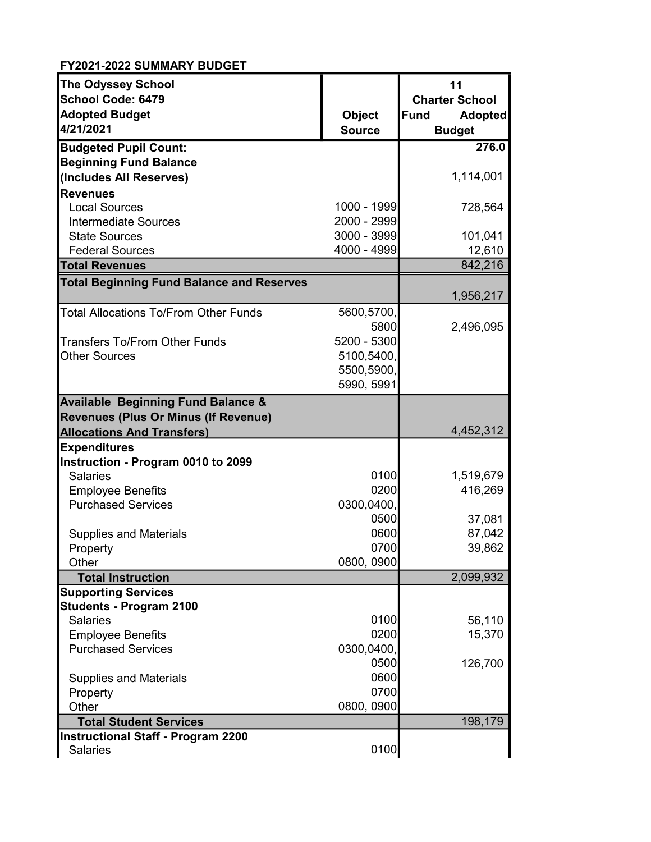| <b>The Odyssey School</b>                             |               | 11                            |
|-------------------------------------------------------|---------------|-------------------------------|
| <b>School Code: 6479</b>                              |               | <b>Charter School</b>         |
| <b>Adopted Budget</b>                                 | <b>Object</b> | <b>Fund</b><br><b>Adopted</b> |
| 4/21/2021                                             | <b>Source</b> | <b>Budget</b>                 |
| <b>Budgeted Pupil Count:</b>                          |               | 276.0                         |
| <b>Beginning Fund Balance</b>                         |               |                               |
| (Includes All Reserves)                               |               | 1,114,001                     |
| <b>Revenues</b>                                       |               |                               |
| <b>Local Sources</b>                                  | 1000 - 1999   | 728,564                       |
| <b>Intermediate Sources</b>                           | 2000 - 2999   |                               |
| <b>State Sources</b>                                  | 3000 - 3999   | 101,041                       |
| <b>Federal Sources</b>                                | 4000 - 4999   | 12,610                        |
| <b>Total Revenues</b>                                 |               | 842,216                       |
| <b>Total Beginning Fund Balance and Reserves</b>      |               | 1,956,217                     |
| <b>Total Allocations To/From Other Funds</b>          | 5600,5700,    |                               |
|                                                       | 5800          | 2,496,095                     |
| <b>Transfers To/From Other Funds</b>                  | 5200 - 5300   |                               |
| <b>Other Sources</b>                                  | 5100,5400,    |                               |
|                                                       | 5500,5900,    |                               |
|                                                       | 5990, 5991    |                               |
| <b>Available Beginning Fund Balance &amp;</b>         |               |                               |
| Revenues (Plus Or Minus (If Revenue)                  |               |                               |
| <b>Allocations And Transfers)</b>                     |               | 4,452,312                     |
| <b>Expenditures</b>                                   |               |                               |
| Instruction - Program 0010 to 2099<br><b>Salaries</b> | 0100          |                               |
|                                                       | 0200          | 1,519,679<br>416,269          |
| <b>Employee Benefits</b><br><b>Purchased Services</b> | 0300,0400,    |                               |
|                                                       | 0500          | 37,081                        |
| <b>Supplies and Materials</b>                         | 0600          | 87,042                        |
| Property                                              | 0700          | 39,862                        |
| Other                                                 | 0800, 0900    |                               |
| <b>Total Instruction</b>                              |               | 2,099,932                     |
| <b>Supporting Services</b>                            |               |                               |
| <b>Students - Program 2100</b>                        |               |                               |
| <b>Salaries</b>                                       | 0100          | 56,110                        |
| <b>Employee Benefits</b>                              | 0200          | 15,370                        |
| <b>Purchased Services</b>                             | 0300,0400,    |                               |
|                                                       | 0500          | 126,700                       |
| <b>Supplies and Materials</b>                         | 0600          |                               |
| Property                                              | 0700          |                               |
| Other                                                 | 0800, 0900    |                               |
| <b>Total Student Services</b>                         |               | 198,179                       |
| <b>Instructional Staff - Program 2200</b>             |               |                               |
| <b>Salaries</b>                                       | 0100          |                               |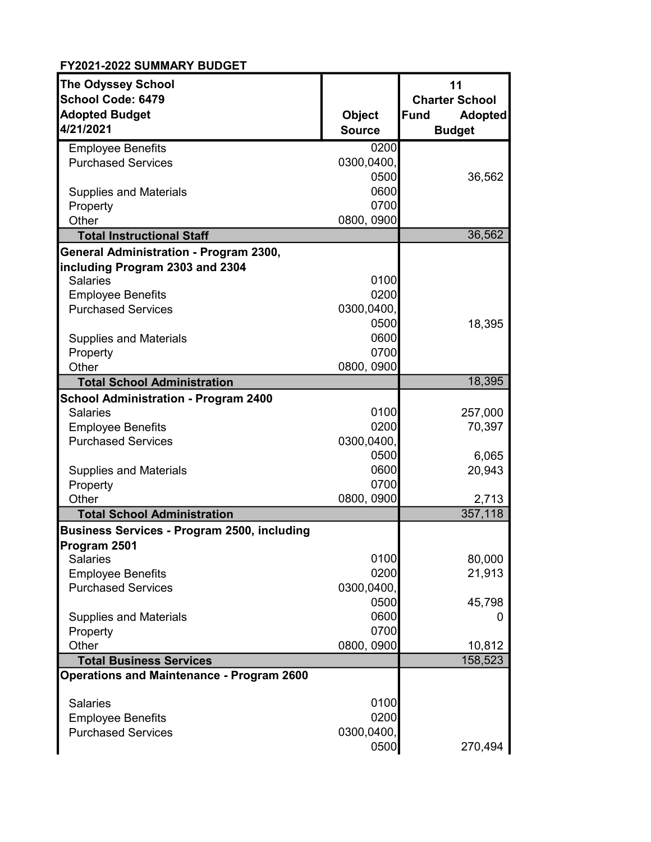| <b>The Odyssey School</b>                          |               | 11                            |
|----------------------------------------------------|---------------|-------------------------------|
| <b>School Code: 6479</b>                           |               | <b>Charter School</b>         |
| <b>Adopted Budget</b>                              | <b>Object</b> | <b>Fund</b><br><b>Adopted</b> |
| 4/21/2021                                          | <b>Source</b> | <b>Budget</b>                 |
| <b>Employee Benefits</b>                           | 0200          |                               |
| <b>Purchased Services</b>                          | 0300,0400,    |                               |
|                                                    | 0500          | 36,562                        |
| <b>Supplies and Materials</b>                      | 0600          |                               |
| Property                                           | 0700          |                               |
| Other                                              | 0800, 0900    |                               |
| <b>Total Instructional Staff</b>                   |               | 36,562                        |
| General Administration - Program 2300,             |               |                               |
| including Program 2303 and 2304                    |               |                               |
| <b>Salaries</b>                                    | 0100          |                               |
| <b>Employee Benefits</b>                           | 0200          |                               |
| <b>Purchased Services</b>                          | 0300,0400,    |                               |
|                                                    | 0500          | 18,395                        |
| <b>Supplies and Materials</b>                      | 0600          |                               |
| Property                                           | 0700          |                               |
| Other                                              | 0800, 0900    |                               |
| <b>Total School Administration</b>                 |               | 18,395                        |
| <b>School Administration - Program 2400</b>        |               |                               |
| <b>Salaries</b>                                    | 0100          | 257,000                       |
| <b>Employee Benefits</b>                           | 0200          | 70,397                        |
| <b>Purchased Services</b>                          | 0300,0400,    |                               |
|                                                    | 0500          | 6,065                         |
| <b>Supplies and Materials</b>                      | 0600          | 20,943                        |
| Property                                           | 0700          |                               |
| Other                                              | 0800, 0900    | 2,713                         |
| <b>Total School Administration</b>                 |               | 357,118                       |
| <b>Business Services - Program 2500, including</b> |               |                               |
| Program 2501                                       |               |                               |
| <b>Salaries</b>                                    | 0100          | 80,000                        |
| <b>Employee Benefits</b>                           | 0200          | 21,913                        |
| <b>Purchased Services</b>                          | 0300,0400,    |                               |
|                                                    | 0500          | 45,798                        |
| <b>Supplies and Materials</b>                      | 0600          | O                             |
| Property                                           | 0700          |                               |
| Other                                              | 0800, 0900    | 10,812                        |
| <b>Total Business Services</b>                     |               | 158,523                       |
| <b>Operations and Maintenance - Program 2600</b>   |               |                               |
|                                                    |               |                               |
| <b>Salaries</b>                                    | 0100          |                               |
| <b>Employee Benefits</b>                           | 0200          |                               |
| <b>Purchased Services</b>                          | 0300,0400,    |                               |
|                                                    | 0500          | 270,494                       |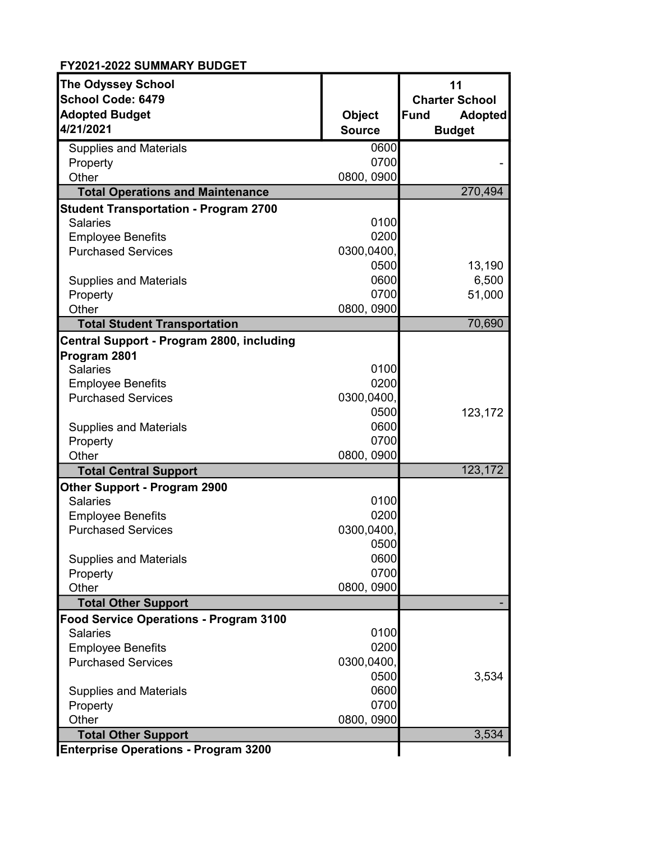| <b>The Odyssey School</b><br><b>School Code: 6479</b><br><b>Adopted Budget</b><br>4/21/2021 | <b>Object</b><br><b>Source</b> | 11<br><b>Charter School</b><br><b>Adopted</b><br><b>Fund</b><br><b>Budget</b> |
|---------------------------------------------------------------------------------------------|--------------------------------|-------------------------------------------------------------------------------|
| <b>Supplies and Materials</b>                                                               | 0600                           |                                                                               |
| Property                                                                                    | 0700                           |                                                                               |
| Other                                                                                       | 0800, 0900                     |                                                                               |
| <b>Total Operations and Maintenance</b>                                                     |                                | 270,494                                                                       |
| <b>Student Transportation - Program 2700</b>                                                |                                |                                                                               |
| <b>Salaries</b>                                                                             | 0100<br>0200                   |                                                                               |
| <b>Employee Benefits</b>                                                                    |                                |                                                                               |
| <b>Purchased Services</b>                                                                   | 0300,0400,                     |                                                                               |
|                                                                                             | 0500                           | 13,190                                                                        |
| <b>Supplies and Materials</b>                                                               | 0600                           | 6,500                                                                         |
| Property                                                                                    | 0700                           | 51,000                                                                        |
| Other                                                                                       | 0800, 0900                     |                                                                               |
| <b>Total Student Transportation</b>                                                         |                                | 70,690                                                                        |
| Central Support - Program 2800, including                                                   |                                |                                                                               |
| Program 2801                                                                                |                                |                                                                               |
| <b>Salaries</b>                                                                             | 0100                           |                                                                               |
| <b>Employee Benefits</b>                                                                    | 0200                           |                                                                               |
| <b>Purchased Services</b>                                                                   | 0300,0400,                     |                                                                               |
|                                                                                             | 0500                           | 123,172                                                                       |
| <b>Supplies and Materials</b>                                                               | 0600                           |                                                                               |
| Property                                                                                    | 0700                           |                                                                               |
| Other                                                                                       | 0800, 0900                     |                                                                               |
| <b>Total Central Support</b>                                                                |                                | 123,172                                                                       |
| <b>Other Support - Program 2900</b>                                                         |                                |                                                                               |
| <b>Salaries</b>                                                                             | 0100                           |                                                                               |
| <b>Employee Benefits</b>                                                                    | 0200                           |                                                                               |
| <b>Purchased Services</b>                                                                   | 0300,0400,                     |                                                                               |
|                                                                                             | 0500                           |                                                                               |
| <b>Supplies and Materials</b>                                                               | 0600                           |                                                                               |
| Property                                                                                    | 0700                           |                                                                               |
| Other                                                                                       | 0800, 0900                     |                                                                               |
| <b>Total Other Support</b>                                                                  |                                |                                                                               |
| <b>Food Service Operations - Program 3100</b>                                               |                                |                                                                               |
| <b>Salaries</b>                                                                             | 0100                           |                                                                               |
| <b>Employee Benefits</b>                                                                    | 0200                           |                                                                               |
| <b>Purchased Services</b>                                                                   | 0300,0400,                     |                                                                               |
|                                                                                             | 0500                           | 3,534                                                                         |
| <b>Supplies and Materials</b>                                                               | 0600                           |                                                                               |
| Property                                                                                    | 0700                           |                                                                               |
| Other                                                                                       | 0800, 0900                     |                                                                               |
| <b>Total Other Support</b>                                                                  |                                | 3,534                                                                         |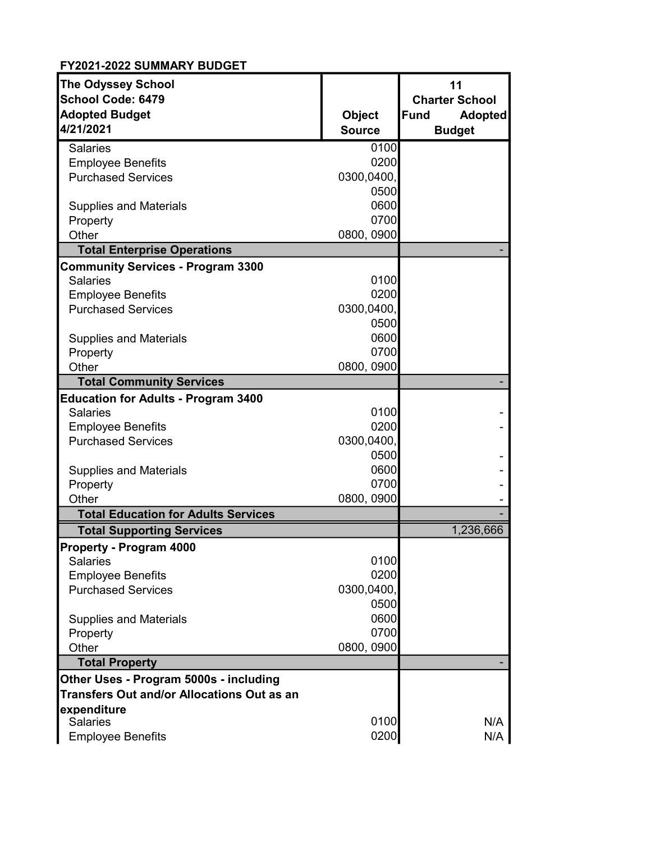| <b>The Odyssey School</b>                         |               | 11                     |
|---------------------------------------------------|---------------|------------------------|
| School Code: 6479                                 |               | <b>Charter School</b>  |
| <b>Adopted Budget</b>                             | <b>Object</b> | Fund<br><b>Adopted</b> |
| 4/21/2021                                         | <b>Source</b> | <b>Budget</b>          |
| <b>Salaries</b>                                   | 0100          |                        |
| <b>Employee Benefits</b>                          | 0200          |                        |
| <b>Purchased Services</b>                         | 0300,0400,    |                        |
|                                                   | 0500          |                        |
| <b>Supplies and Materials</b>                     | 0600          |                        |
| Property                                          | 0700          |                        |
| Other                                             | 0800, 0900    |                        |
| <b>Total Enterprise Operations</b>                |               |                        |
| <b>Community Services - Program 3300</b>          |               |                        |
| <b>Salaries</b>                                   | 0100          |                        |
| <b>Employee Benefits</b>                          | 0200          |                        |
| <b>Purchased Services</b>                         | 0300,0400,    |                        |
|                                                   | 0500          |                        |
| <b>Supplies and Materials</b>                     | 0600          |                        |
| Property                                          | 0700          |                        |
| Other                                             | 0800, 0900    |                        |
| <b>Total Community Services</b>                   |               |                        |
| <b>Education for Adults - Program 3400</b>        |               |                        |
| <b>Salaries</b>                                   | 0100          |                        |
| <b>Employee Benefits</b>                          | 0200          |                        |
| <b>Purchased Services</b>                         | 0300,0400,    |                        |
|                                                   | 0500          |                        |
| <b>Supplies and Materials</b>                     | 0600          |                        |
| Property                                          | 0700          |                        |
| Other                                             | 0800, 0900    |                        |
| <b>Total Education for Adults Services</b>        |               |                        |
| <b>Total Supporting Services</b>                  |               | 1,236,666              |
| <b>Property - Program 4000</b>                    |               |                        |
| <b>Salaries</b>                                   | 0100          |                        |
| <b>Employee Benefits</b>                          | 0200          |                        |
| <b>Purchased Services</b>                         | 0300,0400,    |                        |
|                                                   | 0500          |                        |
| <b>Supplies and Materials</b>                     | 0600          |                        |
| Property                                          | 0700          |                        |
| Other                                             | 0800, 0900    |                        |
| <b>Total Property</b>                             |               |                        |
| Other Uses - Program 5000s - including            |               |                        |
| <b>Transfers Out and/or Allocations Out as an</b> |               |                        |
| expenditure                                       |               |                        |
| <b>Salaries</b>                                   | 0100          | N/A                    |
| <b>Employee Benefits</b>                          | 0200          | N/A                    |